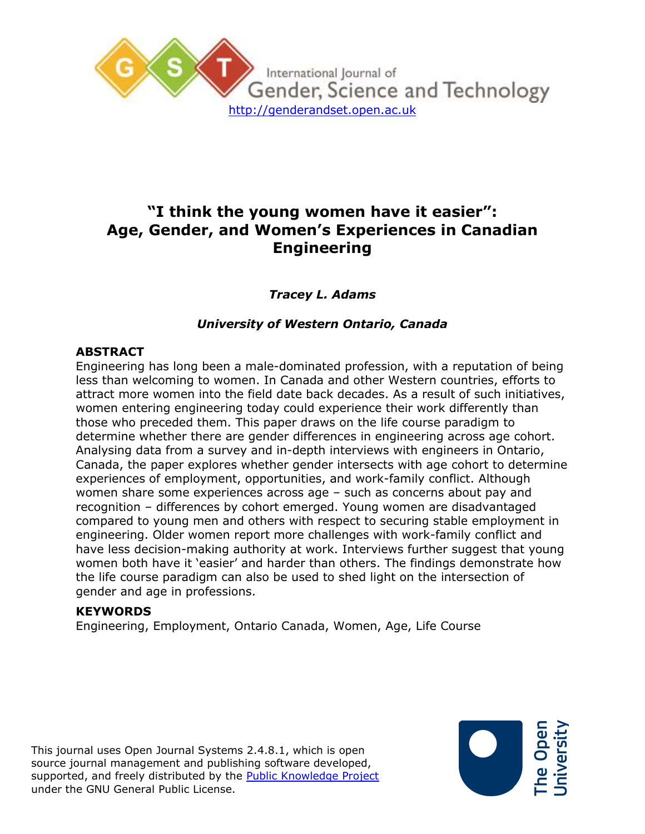

# **"I think the young women have it easier": Age, Gender, and Women's Experiences in Canadian Engineering**

*Tracey L. Adams*

## *University of Western Ontario, Canada*

## **ABSTRACT**

Engineering has long been a male-dominated profession, with a reputation of being less than welcoming to women. In Canada and other Western countries, efforts to attract more women into the field date back decades. As a result of such initiatives, women entering engineering today could experience their work differently than those who preceded them. This paper draws on the life course paradigm to determine whether there are gender differences in engineering across age cohort. Analysing data from a survey and in-depth interviews with engineers in Ontario, Canada, the paper explores whether gender intersects with age cohort to determine experiences of employment, opportunities, and work-family conflict. Although women share some experiences across age – such as concerns about pay and recognition – differences by cohort emerged. Young women are disadvantaged compared to young men and others with respect to securing stable employment in engineering. Older women report more challenges with work-family conflict and have less decision-making authority at work. Interviews further suggest that young women both have it 'easier' and harder than others. The findings demonstrate how the life course paradigm can also be used to shed light on the intersection of gender and age in professions.

### **KEYWORDS**

Engineering, Employment, Ontario Canada, Women, Age, Life Course

This journal uses Open Journal Systems 2.4.8.1, which is open source journal management and publishing software developed, supported, and freely distributed by the **Public Knowledge Project** under the GNU General Public License.

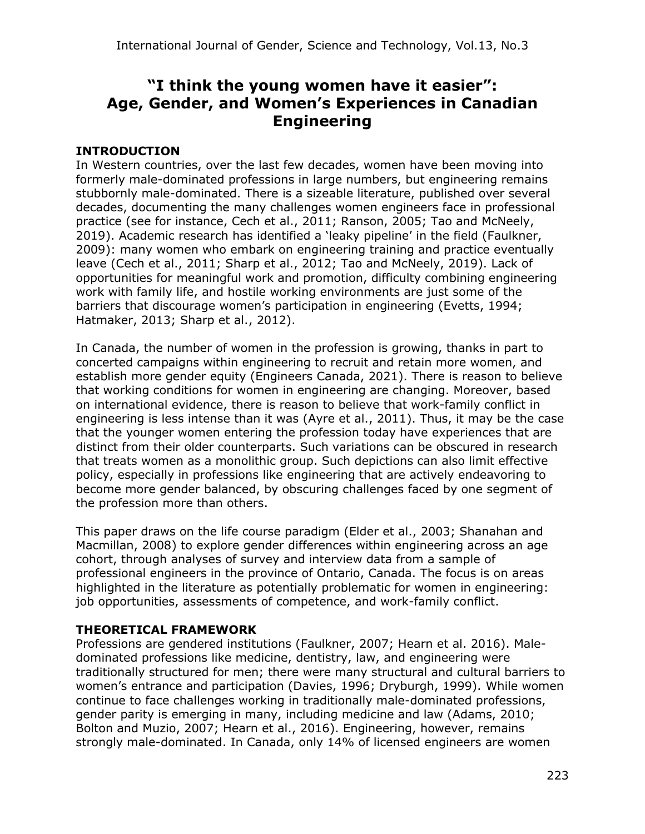# **"I think the young women have it easier": Age, Gender, and Women's Experiences in Canadian Engineering**

## **INTRODUCTION**

In Western countries, over the last few decades, women have been moving into formerly male-dominated professions in large numbers, but engineering remains stubbornly male-dominated. There is a sizeable literature, published over several decades, documenting the many challenges women engineers face in professional practice (see for instance, Cech et al., 2011; Ranson, 2005; Tao and McNeely, 2019). Academic research has identified a 'leaky pipeline' in the field (Faulkner, 2009): many women who embark on engineering training and practice eventually leave (Cech et al., 2011; Sharp et al., 2012; Tao and McNeely, 2019). Lack of opportunities for meaningful work and promotion, difficulty combining engineering work with family life, and hostile working environments are just some of the barriers that discourage women's participation in engineering (Evetts, 1994; Hatmaker, 2013; Sharp et al., 2012).

In Canada, the number of women in the profession is growing, thanks in part to concerted campaigns within engineering to recruit and retain more women, and establish more gender equity (Engineers Canada, 2021). There is reason to believe that working conditions for women in engineering are changing. Moreover, based on international evidence, there is reason to believe that work-family conflict in engineering is less intense than it was (Ayre et al., 2011). Thus, it may be the case that the younger women entering the profession today have experiences that are distinct from their older counterparts. Such variations can be obscured in research that treats women as a monolithic group. Such depictions can also limit effective policy, especially in professions like engineering that are actively endeavoring to become more gender balanced, by obscuring challenges faced by one segment of the profession more than others.

This paper draws on the life course paradigm (Elder et al., 2003; Shanahan and Macmillan, 2008) to explore gender differences within engineering across an age cohort, through analyses of survey and interview data from a sample of professional engineers in the province of Ontario, Canada. The focus is on areas highlighted in the literature as potentially problematic for women in engineering: job opportunities, assessments of competence, and work-family conflict.

### **THEORETICAL FRAMEWORK**

Professions are gendered institutions (Faulkner, 2007; Hearn et al. 2016). Maledominated professions like medicine, dentistry, law, and engineering were traditionally structured for men; there were many structural and cultural barriers to women's entrance and participation (Davies, 1996; Dryburgh, 1999). While women continue to face challenges working in traditionally male-dominated professions, gender parity is emerging in many, including medicine and law (Adams, 2010; Bolton and Muzio, 2007; Hearn et al., 2016). Engineering, however, remains strongly male-dominated. In Canada, only 14% of licensed engineers are women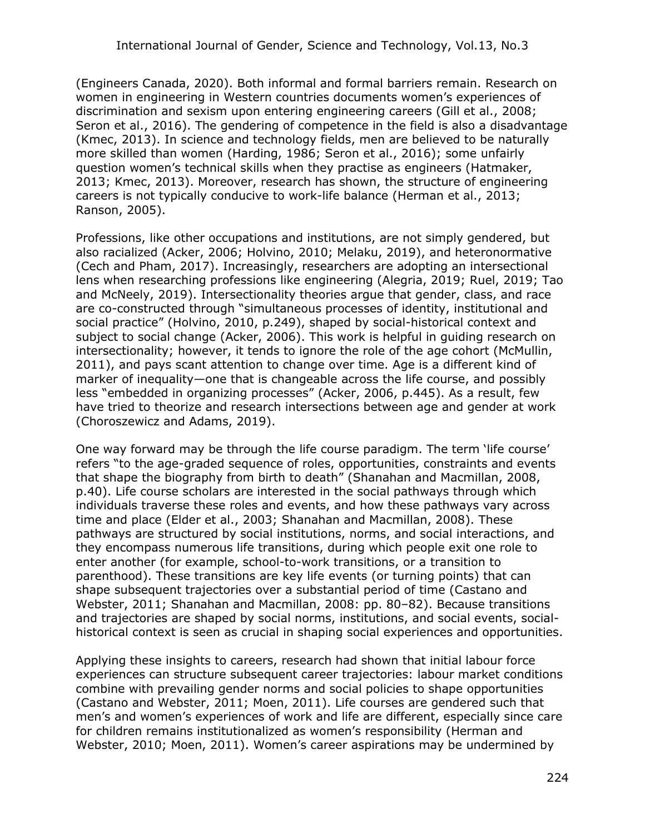(Engineers Canada, 2020). Both informal and formal barriers remain. Research on women in engineering in Western countries documents women's experiences of discrimination and sexism upon entering engineering careers (Gill et al., 2008; Seron et al., 2016). The gendering of competence in the field is also a disadvantage (Kmec, 2013). In science and technology fields, men are believed to be naturally more skilled than women (Harding, 1986; Seron et al., 2016); some unfairly question women's technical skills when they practise as engineers (Hatmaker, 2013; Kmec, 2013). Moreover, research has shown, the structure of engineering careers is not typically conducive to work-life balance (Herman et al., 2013; Ranson, 2005).

Professions, like other occupations and institutions, are not simply gendered, but also racialized (Acker, 2006; Holvino, 2010; Melaku, 2019), and heteronormative (Cech and Pham, 2017). Increasingly, researchers are adopting an intersectional lens when researching professions like engineering (Alegria, 2019; Ruel, 2019; Tao and McNeely, 2019). Intersectionality theories argue that gender, class, and race are co-constructed through "simultaneous processes of identity, institutional and social practice" (Holvino, 2010, p.249), shaped by social-historical context and subject to social change (Acker, 2006). This work is helpful in guiding research on intersectionality; however, it tends to ignore the role of the age cohort (McMullin, 2011), and pays scant attention to change over time. Age is a different kind of marker of inequality—one that is changeable across the life course, and possibly less "embedded in organizing processes" (Acker, 2006, p.445). As a result, few have tried to theorize and research intersections between age and gender at work (Choroszewicz and Adams, 2019).

One way forward may be through the life course paradigm. The term 'life course' refers "to the age-graded sequence of roles, opportunities, constraints and events that shape the biography from birth to death" (Shanahan and Macmillan, 2008, p.40). Life course scholars are interested in the social pathways through which individuals traverse these roles and events, and how these pathways vary across time and place (Elder et al., 2003; Shanahan and Macmillan, 2008). These pathways are structured by social institutions, norms, and social interactions, and they encompass numerous life transitions, during which people exit one role to enter another (for example, school-to-work transitions, or a transition to parenthood). These transitions are key life events (or turning points) that can shape subsequent trajectories over a substantial period of time (Castano and Webster, 2011; Shanahan and Macmillan, 2008: pp. 80–82). Because transitions and trajectories are shaped by social norms, institutions, and social events, socialhistorical context is seen as crucial in shaping social experiences and opportunities.

Applying these insights to careers, research had shown that initial labour force experiences can structure subsequent career trajectories: labour market conditions combine with prevailing gender norms and social policies to shape opportunities (Castano and Webster, 2011; Moen, 2011). Life courses are gendered such that men's and women's experiences of work and life are different, especially since care for children remains institutionalized as women's responsibility (Herman and Webster, 2010; Moen, 2011). Women's career aspirations may be undermined by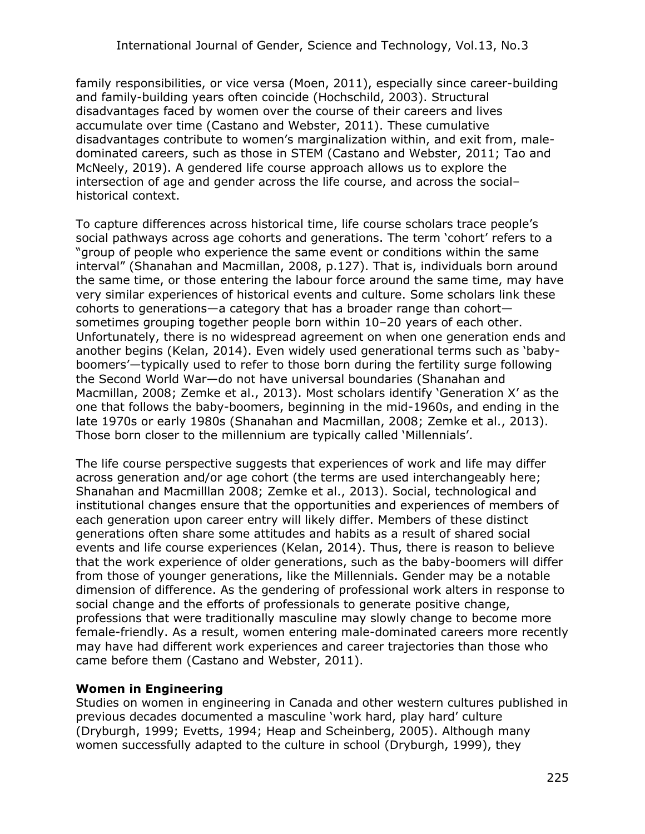family responsibilities, or vice versa (Moen, 2011), especially since career-building and family-building years often coincide (Hochschild, 2003). Structural disadvantages faced by women over the course of their careers and lives accumulate over time (Castano and Webster, 2011). These cumulative disadvantages contribute to women's marginalization within, and exit from, maledominated careers, such as those in STEM (Castano and Webster, 2011; Tao and McNeely, 2019). A gendered life course approach allows us to explore the intersection of age and gender across the life course, and across the social– historical context.

To capture differences across historical time, life course scholars trace people's social pathways across age cohorts and generations. The term 'cohort' refers to a "group of people who experience the same event or conditions within the same interval" (Shanahan and Macmillan, 2008, p.127). That is, individuals born around the same time, or those entering the labour force around the same time, may have very similar experiences of historical events and culture. Some scholars link these cohorts to generations—a category that has a broader range than cohort sometimes grouping together people born within 10–20 years of each other. Unfortunately, there is no widespread agreement on when one generation ends and another begins (Kelan, 2014). Even widely used generational terms such as 'babyboomers'—typically used to refer to those born during the fertility surge following the Second World War—do not have universal boundaries (Shanahan and Macmillan, 2008; Zemke et al., 2013). Most scholars identify 'Generation X' as the one that follows the baby-boomers, beginning in the mid-1960s, and ending in the late 1970s or early 1980s (Shanahan and Macmillan, 2008; Zemke et al., 2013). Those born closer to the millennium are typically called 'Millennials'.

The life course perspective suggests that experiences of work and life may differ across generation and/or age cohort (the terms are used interchangeably here; Shanahan and Macmilllan 2008; Zemke et al., 2013). Social, technological and institutional changes ensure that the opportunities and experiences of members of each generation upon career entry will likely differ. Members of these distinct generations often share some attitudes and habits as a result of shared social events and life course experiences (Kelan, 2014). Thus, there is reason to believe that the work experience of older generations, such as the baby-boomers will differ from those of younger generations, like the Millennials. Gender may be a notable dimension of difference. As the gendering of professional work alters in response to social change and the efforts of professionals to generate positive change, professions that were traditionally masculine may slowly change to become more female-friendly. As a result, women entering male-dominated careers more recently may have had different work experiences and career trajectories than those who came before them (Castano and Webster, 2011).

### **Women in Engineering**

Studies on women in engineering in Canada and other western cultures published in previous decades documented a masculine 'work hard, play hard' culture (Dryburgh, 1999; Evetts, 1994; Heap and Scheinberg, 2005). Although many women successfully adapted to the culture in school (Dryburgh, 1999), they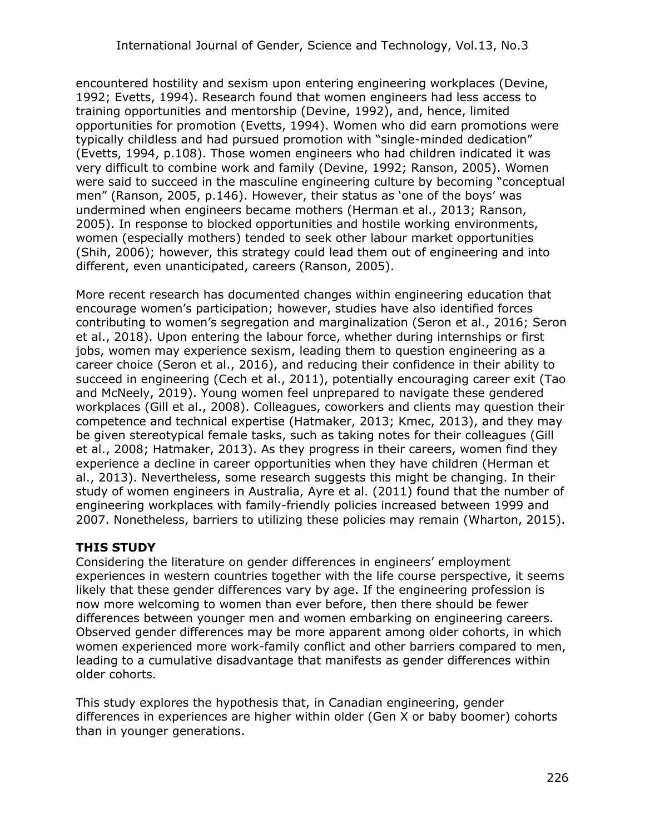encountered hostility and sexism upon entering engineering workplaces (Devine, 1992; Evetts, 1994). Research found that women engineers had less access to training opportunities and mentorship (Devine, 1992), and, hence, limited opportunities for promotion (Evetts, 1994). Women who did earn promotions were typically childless and had pursued promotion with "single-minded dedication" (Evetts, 1994, p.108). Those women engineers who had children indicated it was very difficult to combine work and family (Devine, 1992; Ranson, 2005). Women were said to succeed in the masculine engineering culture by becoming "conceptual men" (Ranson, 2005, p.146). However, their status as 'one of the boys' was undermined when engineers became mothers (Herman et al., 2013; Ranson, 2005). In response to blocked opportunities and hostile working environments, women (especially mothers) tended to seek other labour market opportunities (Shih, 2006); however, this strategy could lead them out of engineering and into different, even unanticipated, careers (Ranson, 2005).

More recent research has documented changes within engineering education that encourage women's participation; however, studies have also identified forces contributing to women's segregation and marginalization (Seron et al., 2016; Seron et al., 2018). Upon entering the labour force, whether during internships or first jobs, women may experience sexism, leading them to question engineering as a career choice (Seron et al., 2016), and reducing their confidence in their ability to succeed in engineering (Cech et al., 2011), potentially encouraging career exit (Tao and McNeely, 2019). Young women feel unprepared to navigate these gendered workplaces (Gill et al., 2008). Colleagues, coworkers and clients may question their competence and technical expertise (Hatmaker, 2013; Kmec, 2013), and they may be given stereotypical female tasks, such as taking notes for their colleagues (Gill et al., 2008; Hatmaker, 2013). As they progress in their careers, women find they experience a decline in career opportunities when they have children (Herman et al., 2013). Nevertheless, some research suggests this might be changing. In their study of women engineers in Australia, Ayre et al. (2011) found that the number of engineering workplaces with family-friendly policies increased between 1999 and 2007. Nonetheless, barriers to utilizing these policies may remain (Wharton, 2015).

## **THIS STUDY**

Considering the literature on gender differences in engineers' employment experiences in western countries together with the life course perspective, it seems likely that these gender differences vary by age. If the engineering profession is now more welcoming to women than ever before, then there should be fewer differences between younger men and women embarking on engineering careers. Observed gender differences may be more apparent among older cohorts, in which women experienced more work-family conflict and other barriers compared to men, leading to a cumulative disadvantage that manifests as gender differences within older cohorts.

This study explores the hypothesis that, in Canadian engineering, gender differences in experiences are higher within older (Gen X or baby boomer) cohorts than in younger generations.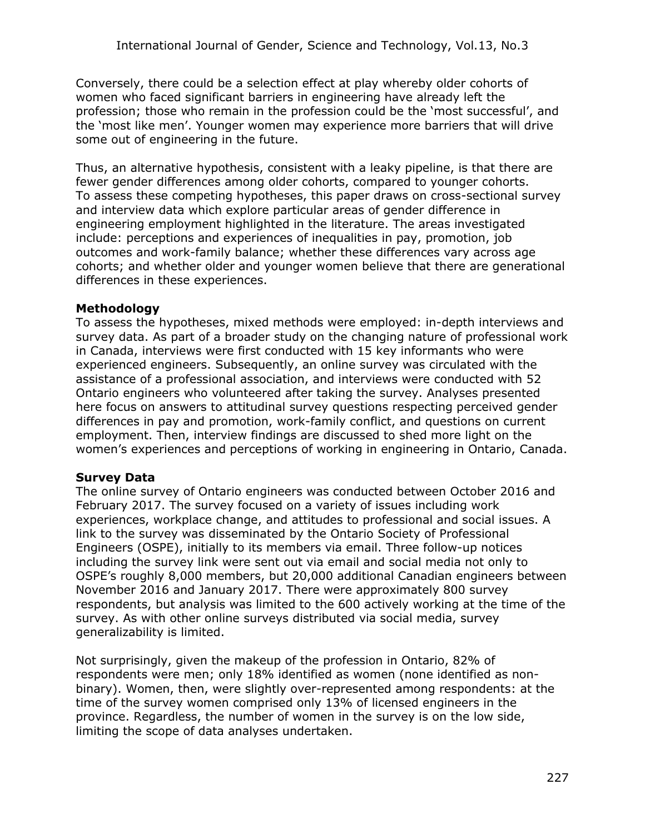Conversely, there could be a selection effect at play whereby older cohorts of women who faced significant barriers in engineering have already left the profession; those who remain in the profession could be the 'most successful', and the 'most like men'. Younger women may experience more barriers that will drive some out of engineering in the future.

Thus, an alternative hypothesis, consistent with a leaky pipeline, is that there are fewer gender differences among older cohorts, compared to younger cohorts. To assess these competing hypotheses, this paper draws on cross-sectional survey and interview data which explore particular areas of gender difference in engineering employment highlighted in the literature. The areas investigated include: perceptions and experiences of inequalities in pay, promotion, job outcomes and work-family balance; whether these differences vary across age cohorts; and whether older and younger women believe that there are generational differences in these experiences.

## **Methodology**

To assess the hypotheses, mixed methods were employed: in-depth interviews and survey data. As part of a broader study on the changing nature of professional work in Canada, interviews were first conducted with 15 key informants who were experienced engineers. Subsequently, an online survey was circulated with the assistance of a professional association, and interviews were conducted with 52 Ontario engineers who volunteered after taking the survey. Analyses presented here focus on answers to attitudinal survey questions respecting perceived gender differences in pay and promotion, work-family conflict, and questions on current employment. Then, interview findings are discussed to shed more light on the women's experiences and perceptions of working in engineering in Ontario, Canada.

## **Survey Data**

The online survey of Ontario engineers was conducted between October 2016 and February 2017. The survey focused on a variety of issues including work experiences, workplace change, and attitudes to professional and social issues. A link to the survey was disseminated by the Ontario Society of Professional Engineers (OSPE), initially to its members via email. Three follow-up notices including the survey link were sent out via email and social media not only to OSPE's roughly 8,000 members, but 20,000 additional Canadian engineers between November 2016 and January 2017. There were approximately 800 survey respondents, but analysis was limited to the 600 actively working at the time of the survey. As with other online surveys distributed via social media, survey generalizability is limited.

Not surprisingly, given the makeup of the profession in Ontario, 82% of respondents were men; only 18% identified as women (none identified as nonbinary). Women, then, were slightly over-represented among respondents: at the time of the survey women comprised only 13% of licensed engineers in the province. Regardless, the number of women in the survey is on the low side, limiting the scope of data analyses undertaken.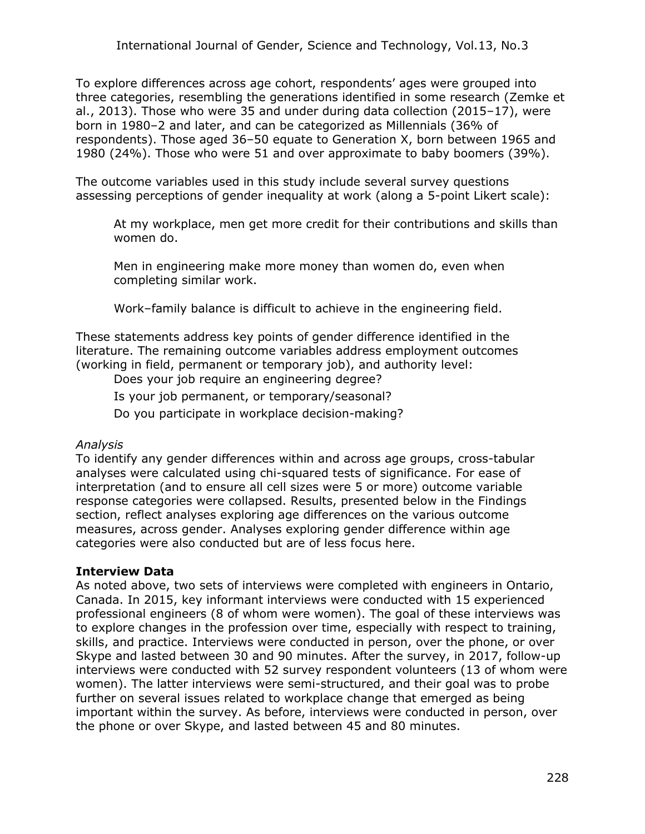To explore differences across age cohort, respondents' ages were grouped into three categories, resembling the generations identified in some research (Zemke et al., 2013). Those who were 35 and under during data collection (2015–17), were born in 1980–2 and later, and can be categorized as Millennials (36% of respondents). Those aged 36–50 equate to Generation X, born between 1965 and 1980 (24%). Those who were 51 and over approximate to baby boomers (39%).

The outcome variables used in this study include several survey questions assessing perceptions of gender inequality at work (along a 5-point Likert scale):

At my workplace, men get more credit for their contributions and skills than women do.

Men in engineering make more money than women do, even when completing similar work.

Work–family balance is difficult to achieve in the engineering field.

These statements address key points of gender difference identified in the literature. The remaining outcome variables address employment outcomes (working in field, permanent or temporary job), and authority level:

Does your job require an engineering degree?

Is your job permanent, or temporary/seasonal?

Do you participate in workplace decision-making?

### *Analysis*

To identify any gender differences within and across age groups, cross-tabular analyses were calculated using chi-squared tests of significance. For ease of interpretation (and to ensure all cell sizes were 5 or more) outcome variable response categories were collapsed. Results, presented below in the Findings section, reflect analyses exploring age differences on the various outcome measures, across gender. Analyses exploring gender difference within age categories were also conducted but are of less focus here.

### **Interview Data**

As noted above, two sets of interviews were completed with engineers in Ontario, Canada. In 2015, key informant interviews were conducted with 15 experienced professional engineers (8 of whom were women). The goal of these interviews was to explore changes in the profession over time, especially with respect to training, skills, and practice. Interviews were conducted in person, over the phone, or over Skype and lasted between 30 and 90 minutes. After the survey, in 2017, follow-up interviews were conducted with 52 survey respondent volunteers (13 of whom were women). The latter interviews were semi-structured, and their goal was to probe further on several issues related to workplace change that emerged as being important within the survey. As before, interviews were conducted in person, over the phone or over Skype, and lasted between 45 and 80 minutes.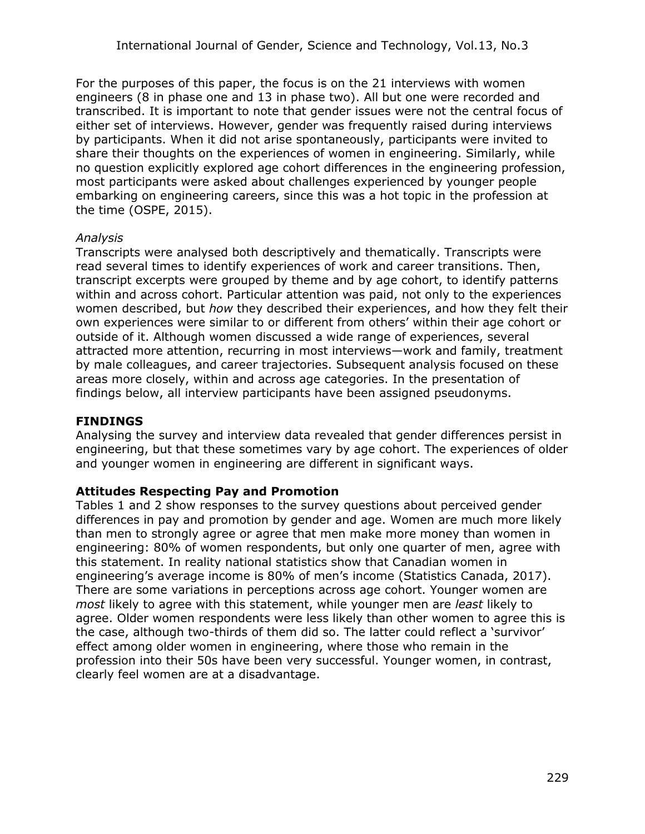For the purposes of this paper, the focus is on the 21 interviews with women engineers (8 in phase one and 13 in phase two). All but one were recorded and transcribed. It is important to note that gender issues were not the central focus of either set of interviews. However, gender was frequently raised during interviews by participants. When it did not arise spontaneously, participants were invited to share their thoughts on the experiences of women in engineering. Similarly, while no question explicitly explored age cohort differences in the engineering profession, most participants were asked about challenges experienced by younger people embarking on engineering careers, since this was a hot topic in the profession at the time (OSPE, 2015).

#### *Analysis*

Transcripts were analysed both descriptively and thematically. Transcripts were read several times to identify experiences of work and career transitions. Then, transcript excerpts were grouped by theme and by age cohort, to identify patterns within and across cohort. Particular attention was paid, not only to the experiences women described, but *how* they described their experiences, and how they felt their own experiences were similar to or different from others' within their age cohort or outside of it. Although women discussed a wide range of experiences, several attracted more attention, recurring in most interviews—work and family, treatment by male colleagues, and career trajectories. Subsequent analysis focused on these areas more closely, within and across age categories. In the presentation of findings below, all interview participants have been assigned pseudonyms.

### **FINDINGS**

Analysing the survey and interview data revealed that gender differences persist in engineering, but that these sometimes vary by age cohort. The experiences of older and younger women in engineering are different in significant ways.

#### **Attitudes Respecting Pay and Promotion**

Tables 1 and 2 show responses to the survey questions about perceived gender differences in pay and promotion by gender and age. Women are much more likely than men to strongly agree or agree that men make more money than women in engineering: 80% of women respondents, but only one quarter of men, agree with this statement. In reality national statistics show that Canadian women in engineering's average income is 80% of men's income (Statistics Canada, 2017). There are some variations in perceptions across age cohort. Younger women are *most* likely to agree with this statement, while younger men are *least* likely to agree. Older women respondents were less likely than other women to agree this is the case, although two-thirds of them did so. The latter could reflect a 'survivor' effect among older women in engineering, where those who remain in the profession into their 50s have been very successful. Younger women, in contrast, clearly feel women are at a disadvantage.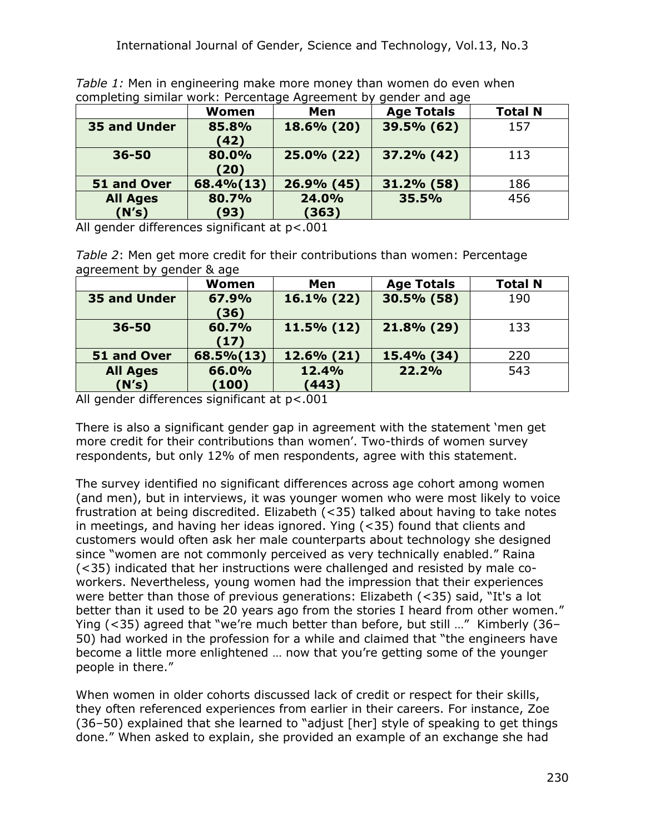*Table 1:* Men in engineering make more money than women do even when completing similar work: Percentage Agreement by gender and age

|                          | <b>Women</b>  | Men            | <b>Age Totals</b> | <b>Total N</b> |
|--------------------------|---------------|----------------|-------------------|----------------|
| 35 and Under             | 85.8%<br>(42) | 18.6% (20)     | 39.5% (62)        | 157            |
| $36 - 50$                | 80.0%<br>(20) | 25.0% (22)     | 37.2% (42)        | 113            |
| 51 and Over              | 68.4% (13)    | 26.9% (45)     | 31.2% (58)        | 186            |
| <b>All Ages</b><br>(N's) | 80.7%<br>(93) | 24.0%<br>(363) | 35.5%             | 456            |

All gender differences significant at  $p < .001$ 

*Table 2*: Men get more credit for their contributions than women: Percentage agreement by gender & age

|                     | Women     | Men           | <b>Age Totals</b> | <b>Total N</b> |
|---------------------|-----------|---------------|-------------------|----------------|
| <b>35 and Under</b> | 67.9%     | $16.1\%$ (22) | 30.5% (58)        | 190            |
|                     | (36)      |               |                   |                |
| $36 - 50$           | 60.7%     | $11.5\%$ (12) | 21.8% (29)        | 133            |
|                     | (17)      |               |                   |                |
| 51 and Over         | 68.5%(13) | 12.6% (21)    | 15.4% (34)        | 220            |
| <b>All Ages</b>     | 66.0%     | 12.4%         | 22.2%             | 543            |
| (N's)               | (100)     | (443)         |                   |                |

All gender differences significant at p<.001

There is also a significant gender gap in agreement with the statement 'men get more credit for their contributions than women'. Two-thirds of women survey respondents, but only 12% of men respondents, agree with this statement.

The survey identified no significant differences across age cohort among women (and men), but in interviews, it was younger women who were most likely to voice frustration at being discredited. Elizabeth (<35) talked about having to take notes in meetings, and having her ideas ignored. Ying (<35) found that clients and customers would often ask her male counterparts about technology she designed since "women are not commonly perceived as very technically enabled." Raina (<35) indicated that her instructions were challenged and resisted by male coworkers. Nevertheless, young women had the impression that their experiences were better than those of previous generations: Elizabeth (<35) said, "It's a lot better than it used to be 20 years ago from the stories I heard from other women." Ying (<35) agreed that "we're much better than before, but still …" Kimberly (36– 50) had worked in the profession for a while and claimed that "the engineers have become a little more enlightened … now that you're getting some of the younger people in there."

When women in older cohorts discussed lack of credit or respect for their skills, they often referenced experiences from earlier in their careers. For instance, Zoe (36–50) explained that she learned to "adjust [her] style of speaking to get things done." When asked to explain, she provided an example of an exchange she had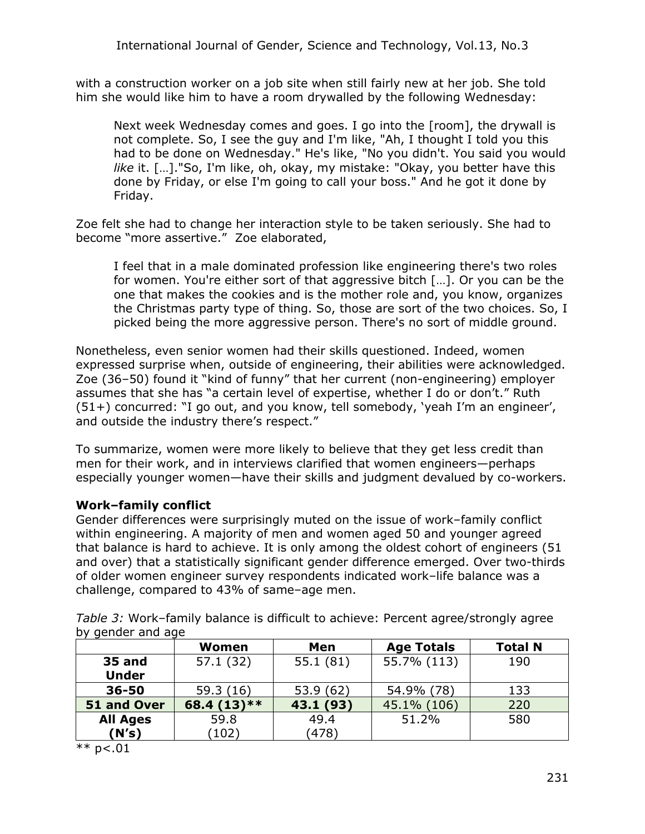with a construction worker on a job site when still fairly new at her job. She told him she would like him to have a room drywalled by the following Wednesday:

Next week Wednesday comes and goes. I go into the [room], the drywall is not complete. So, I see the guy and I'm like, "Ah, I thought I told you this had to be done on Wednesday." He's like, "No you didn't. You said you would *like* it. […]."So, I'm like, oh, okay, my mistake: "Okay, you better have this done by Friday, or else I'm going to call your boss." And he got it done by Friday.

Zoe felt she had to change her interaction style to be taken seriously. She had to become "more assertive." Zoe elaborated,

I feel that in a male dominated profession like engineering there's two roles for women. You're either sort of that aggressive bitch […]. Or you can be the one that makes the cookies and is the mother role and, you know, organizes the Christmas party type of thing. So, those are sort of the two choices. So, I picked being the more aggressive person. There's no sort of middle ground.

Nonetheless, even senior women had their skills questioned. Indeed, women expressed surprise when, outside of engineering, their abilities were acknowledged. Zoe (36–50) found it "kind of funny" that her current (non-engineering) employer assumes that she has "a certain level of expertise, whether I do or don't." Ruth (51+) concurred: "I go out, and you know, tell somebody, 'yeah I'm an engineer', and outside the industry there's respect."

To summarize, women were more likely to believe that they get less credit than men for their work, and in interviews clarified that women engineers—perhaps especially younger women—have their skills and judgment devalued by co-workers.

### **Work–family conflict**

Gender differences were surprisingly muted on the issue of work–family conflict within engineering. A majority of men and women aged 50 and younger agreed that balance is hard to achieve. It is only among the oldest cohort of engineers (51 and over) that a statistically significant gender difference emerged. Over two-thirds of older women engineer survey respondents indicated work–life balance was a challenge, compared to 43% of same–age men.

*Table 3:* Work–family balance is difficult to achieve: Percent agree/strongly agree by gender and age

|                 | Women        | Men       | <b>Age Totals</b> | <b>Total N</b> |
|-----------------|--------------|-----------|-------------------|----------------|
| <b>35 and</b>   | 57.1 (32)    | 55.1(81)  | 55.7% (113)       | 190            |
| <b>Under</b>    |              |           |                   |                |
| $36 - 50$       | 59.3(16)     | 53.9(62)  | 54.9% (78)        | 133            |
| 51 and Over     | 68.4 (13) ** | 43.1 (93) | 45.1% (106)       | 220            |
| <b>All Ages</b> | 59.8         | 49.4      | 51.2%             | 580            |
| (N's)           | (102)        | (478)     |                   |                |

\*\*  $p < .01$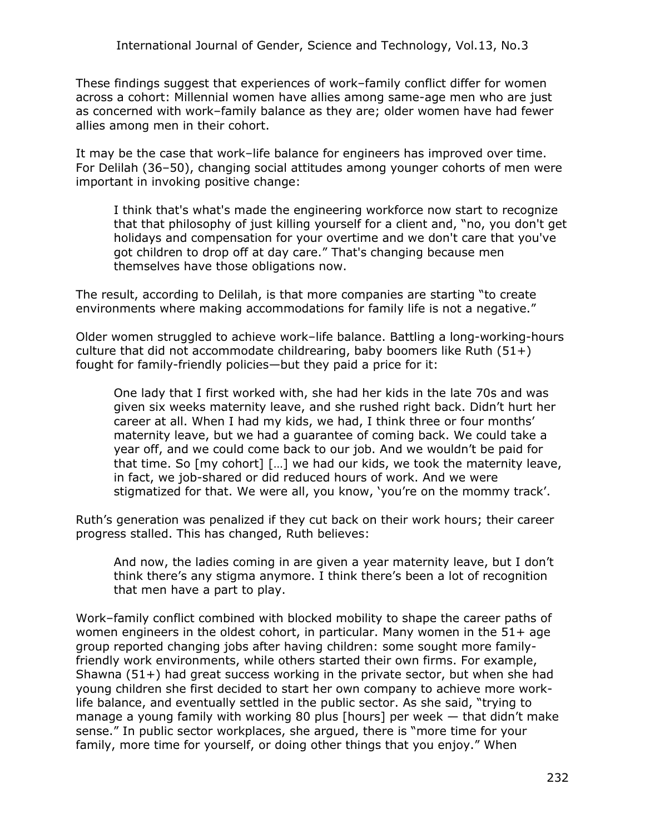These findings suggest that experiences of work–family conflict differ for women across a cohort: Millennial women have allies among same-age men who are just as concerned with work–family balance as they are; older women have had fewer allies among men in their cohort.

It may be the case that work–life balance for engineers has improved over time. For Delilah (36–50), changing social attitudes among younger cohorts of men were important in invoking positive change:

I think that's what's made the engineering workforce now start to recognize that that philosophy of just killing yourself for a client and, "no, you don't get holidays and compensation for your overtime and we don't care that you've got children to drop off at day care." That's changing because men themselves have those obligations now.

The result, according to Delilah, is that more companies are starting "to create environments where making accommodations for family life is not a negative."

Older women struggled to achieve work–life balance. Battling a long-working-hours culture that did not accommodate childrearing, baby boomers like Ruth  $(51+)$ fought for family-friendly policies—but they paid a price for it:

One lady that I first worked with, she had her kids in the late 70s and was given six weeks maternity leave, and she rushed right back. Didn't hurt her career at all. When I had my kids, we had, I think three or four months' maternity leave, but we had a guarantee of coming back. We could take a year off, and we could come back to our job. And we wouldn't be paid for that time. So [my cohort] […] we had our kids, we took the maternity leave, in fact, we job-shared or did reduced hours of work. And we were stigmatized for that. We were all, you know, 'you're on the mommy track'.

Ruth's generation was penalized if they cut back on their work hours; their career progress stalled. This has changed, Ruth believes:

And now, the ladies coming in are given a year maternity leave, but I don't think there's any stigma anymore. I think there's been a lot of recognition that men have a part to play.

Work–family conflict combined with blocked mobility to shape the career paths of women engineers in the oldest cohort, in particular. Many women in the 51+ age group reported changing jobs after having children: some sought more familyfriendly work environments, while others started their own firms. For example, Shawna (51+) had great success working in the private sector, but when she had young children she first decided to start her own company to achieve more worklife balance, and eventually settled in the public sector. As she said, "trying to manage a young family with working 80 plus [hours] per week — that didn't make sense." In public sector workplaces, she argued, there is "more time for your family, more time for yourself, or doing other things that you enjoy." When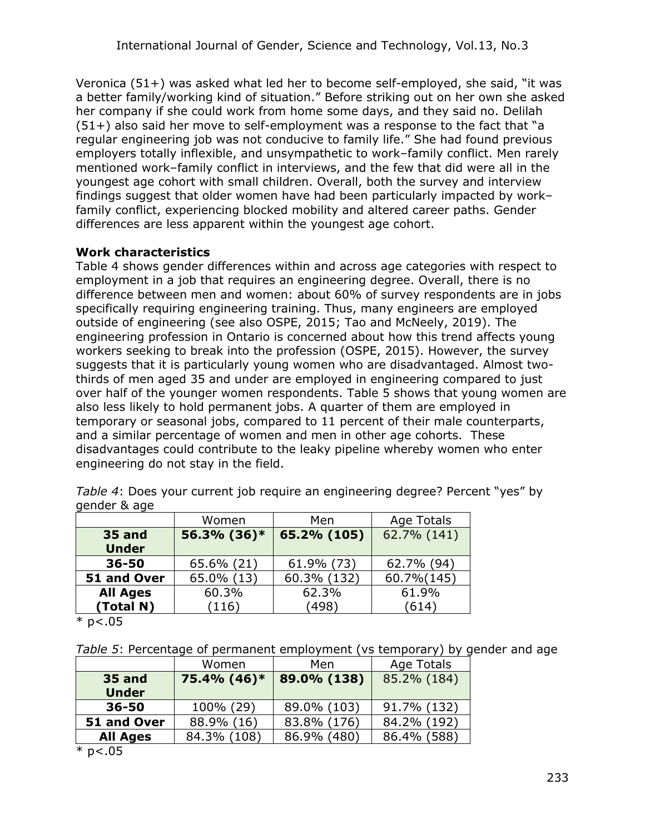Veronica (51+) was asked what led her to become self-employed, she said, "it was a better family/working kind of situation." Before striking out on her own she asked her company if she could work from home some days, and they said no. Delilah (51+) also said her move to self-employment was a response to the fact that "a regular engineering job was not conducive to family life." She had found previous employers totally inflexible, and unsympathetic to work–family conflict. Men rarely mentioned work–family conflict in interviews, and the few that did were all in the youngest age cohort with small children. Overall, both the survey and interview findings suggest that older women have had been particularly impacted by work– family conflict, experiencing blocked mobility and altered career paths. Gender differences are less apparent within the youngest age cohort.

## **Work characteristics**

Table 4 shows gender differences within and across age categories with respect to employment in a job that requires an engineering degree. Overall, there is no difference between men and women: about 60% of survey respondents are in jobs specifically requiring engineering training. Thus, many engineers are employed outside of engineering (see also OSPE, 2015; Tao and McNeely, 2019). The engineering profession in Ontario is concerned about how this trend affects young workers seeking to break into the profession (OSPE, 2015). However, the survey suggests that it is particularly young women who are disadvantaged. Almost twothirds of men aged 35 and under are employed in engineering compared to just over half of the younger women respondents. Table 5 shows that young women are also less likely to hold permanent jobs. A quarter of them are employed in temporary or seasonal jobs, compared to 11 percent of their male counterparts, and a similar percentage of women and men in other age cohorts. These disadvantages could contribute to the leaky pipeline whereby women who enter engineering do not stay in the field.

| gunaun acagu                  |             |             |             |  |
|-------------------------------|-------------|-------------|-------------|--|
|                               | Women       | Men         | Age Totals  |  |
| <b>35 and</b><br><b>Under</b> | 56.3% (36)* | 65.2% (105) | 62.7% (141) |  |
| $36 - 50$                     | 65.6% (21)  | 61.9% (73)  | 62.7% (94)  |  |
| 51 and Over                   | 65.0% (13)  | 60.3% (132) | 60.7% (145) |  |
| <b>All Ages</b>               | 60.3%       | 62.3%       | 61.9%       |  |
| (Total N)                     | (116)       | (498)       | (614)       |  |

*Table 4*: Does your current job require an engineering degree? Percent "yes" by gender & age

 $*$  p<.05

*Table 5*: Percentage of permanent employment (vs temporary) by gender and age

|                               | Women<br>Men |             | Age Totals  |  |
|-------------------------------|--------------|-------------|-------------|--|
| <b>35 and</b><br><b>Under</b> | 75.4% (46)*  | 89.0% (138) | 85.2% (184) |  |
| 36-50                         | 100% (29)    | 89.0% (103) | 91.7% (132) |  |
| 51 and Over                   | 88.9% (16)   | 83.8% (176) | 84.2% (192) |  |
| <b>All Ages</b>               | 84.3% (108)  | 86.9% (480) | 86.4% (588) |  |
| $\sim$ 1.000 $\sim$           |              |             |             |  |

 $*$  p<.05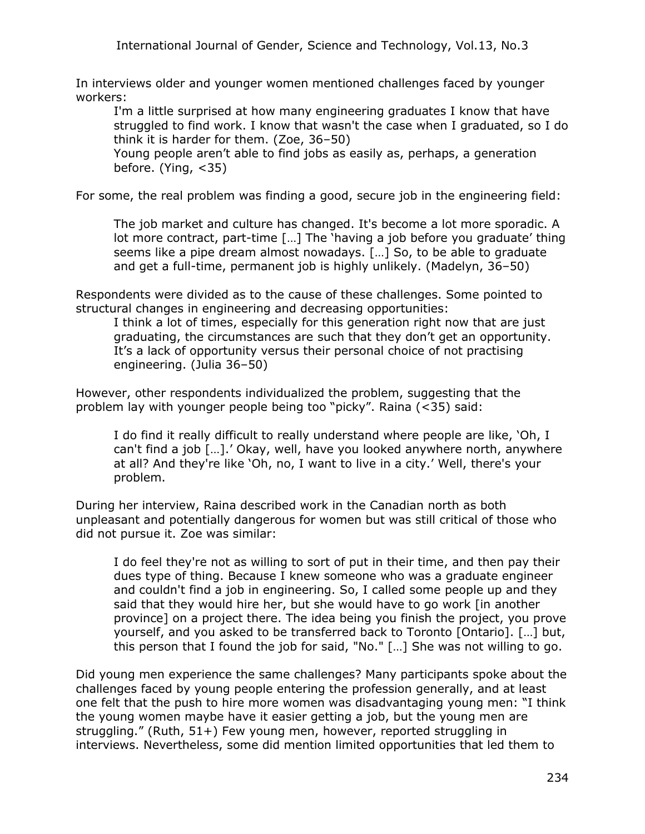In interviews older and younger women mentioned challenges faced by younger workers:

I'm a little surprised at how many engineering graduates I know that have struggled to find work. I know that wasn't the case when I graduated, so I do think it is harder for them. (Zoe, 36–50)

Young people aren't able to find jobs as easily as, perhaps, a generation before. (Ying, <35)

For some, the real problem was finding a good, secure job in the engineering field:

The job market and culture has changed. It's become a lot more sporadic. A lot more contract, part-time […] The 'having a job before you graduate' thing seems like a pipe dream almost nowadays. […] So, to be able to graduate and get a full-time, permanent job is highly unlikely. (Madelyn, 36–50)

Respondents were divided as to the cause of these challenges. Some pointed to structural changes in engineering and decreasing opportunities:

I think a lot of times, especially for this generation right now that are just graduating, the circumstances are such that they don't get an opportunity. It's a lack of opportunity versus their personal choice of not practising engineering. (Julia 36–50)

However, other respondents individualized the problem, suggesting that the problem lay with younger people being too "picky". Raina (<35) said:

I do find it really difficult to really understand where people are like, 'Oh, I can't find a job […].' Okay, well, have you looked anywhere north, anywhere at all? And they're like 'Oh, no, I want to live in a city.' Well, there's your problem.

During her interview, Raina described work in the Canadian north as both unpleasant and potentially dangerous for women but was still critical of those who did not pursue it. Zoe was similar:

I do feel they're not as willing to sort of put in their time, and then pay their dues type of thing. Because I knew someone who was a graduate engineer and couldn't find a job in engineering. So, I called some people up and they said that they would hire her, but she would have to go work [in another province] on a project there. The idea being you finish the project, you prove yourself, and you asked to be transferred back to Toronto [Ontario]. […] but, this person that I found the job for said, "No." […] She was not willing to go.

Did young men experience the same challenges? Many participants spoke about the challenges faced by young people entering the profession generally, and at least one felt that the push to hire more women was disadvantaging young men: "I think the young women maybe have it easier getting a job, but the young men are struggling." (Ruth, 51+) Few young men, however, reported struggling in interviews. Nevertheless, some did mention limited opportunities that led them to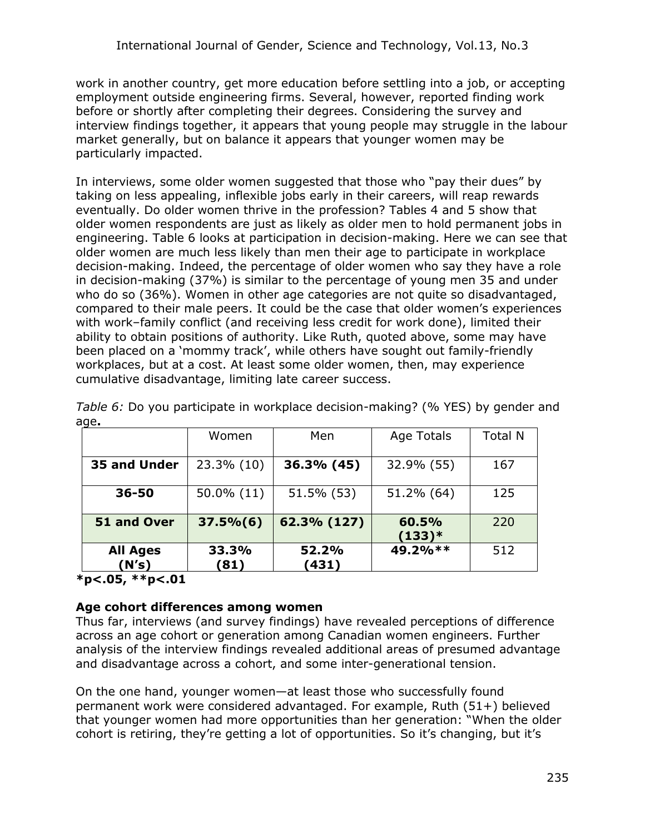work in another country, get more education before settling into a job, or accepting employment outside engineering firms. Several, however, reported finding work before or shortly after completing their degrees. Considering the survey and interview findings together, it appears that young people may struggle in the labour market generally, but on balance it appears that younger women may be particularly impacted.

In interviews, some older women suggested that those who "pay their dues" by taking on less appealing, inflexible jobs early in their careers, will reap rewards eventually. Do older women thrive in the profession? Tables 4 and 5 show that older women respondents are just as likely as older men to hold permanent jobs in engineering. Table 6 looks at participation in decision-making. Here we can see that older women are much less likely than men their age to participate in workplace decision-making. Indeed, the percentage of older women who say they have a role in decision-making (37%) is similar to the percentage of young men 35 and under who do so (36%). Women in other age categories are not quite so disadvantaged, compared to their male peers. It could be the case that older women's experiences with work–family conflict (and receiving less credit for work done), limited their ability to obtain positions of authority. Like Ruth, quoted above, some may have been placed on a 'mommy track', while others have sought out family-friendly workplaces, but at a cost. At least some older women, then, may experience cumulative disadvantage, limiting late career success.

|                          | Women         | Men            | Age Totals        | <b>Total N</b> |
|--------------------------|---------------|----------------|-------------------|----------------|
| 35 and Under             | 23.3% (10)    | 36.3% (45)     | 32.9% (55)        | 167            |
| $36 - 50$                | 50.0% (11)    | 51.5% (53)     | 51.2% (64)        | 125            |
| 51 and Over              | $37.5\% (6)$  | 62.3% (127)    | 60.5%<br>$(133)*$ | 220            |
| <b>All Ages</b><br>(N's) | 33.3%<br>(81) | 52.2%<br>(431) | 49.2%**           | 512            |

*Table 6:* Do you participate in workplace decision-making? (% YES) by gender and age**.** 

### **\*p<.05, \*\*p<.01**

#### **Age cohort differences among women**

Thus far, interviews (and survey findings) have revealed perceptions of difference across an age cohort or generation among Canadian women engineers. Further analysis of the interview findings revealed additional areas of presumed advantage and disadvantage across a cohort, and some inter-generational tension.

On the one hand, younger women—at least those who successfully found permanent work were considered advantaged. For example, Ruth (51+) believed that younger women had more opportunities than her generation: "When the older cohort is retiring, they're getting a lot of opportunities. So it's changing, but it's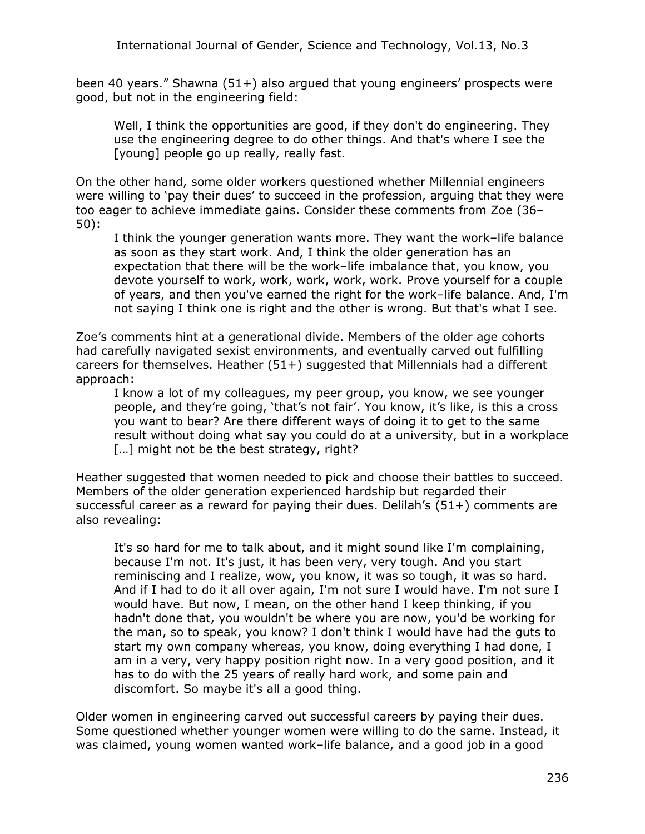been 40 years." Shawna (51+) also argued that young engineers' prospects were good, but not in the engineering field:

Well, I think the opportunities are good, if they don't do engineering. They use the engineering degree to do other things. And that's where I see the [young] people go up really, really fast.

On the other hand, some older workers questioned whether Millennial engineers were willing to 'pay their dues' to succeed in the profession, arguing that they were too eager to achieve immediate gains. Consider these comments from Zoe (36– 50):

I think the younger generation wants more. They want the work–life balance as soon as they start work. And, I think the older generation has an expectation that there will be the work–life imbalance that, you know, you devote yourself to work, work, work, work, work. Prove yourself for a couple of years, and then you've earned the right for the work–life balance. And, I'm not saying I think one is right and the other is wrong. But that's what I see.

Zoe's comments hint at a generational divide. Members of the older age cohorts had carefully navigated sexist environments, and eventually carved out fulfilling careers for themselves. Heather (51+) suggested that Millennials had a different approach:

I know a lot of my colleagues, my peer group, you know, we see younger people, and they're going, 'that's not fair'. You know, it's like, is this a cross you want to bear? Are there different ways of doing it to get to the same result without doing what say you could do at a university, but in a workplace [...] might not be the best strategy, right?

Heather suggested that women needed to pick and choose their battles to succeed. Members of the older generation experienced hardship but regarded their successful career as a reward for paying their dues. Delilah's (51+) comments are also revealing:

It's so hard for me to talk about, and it might sound like I'm complaining, because I'm not. It's just, it has been very, very tough. And you start reminiscing and I realize, wow, you know, it was so tough, it was so hard. And if I had to do it all over again, I'm not sure I would have. I'm not sure I would have. But now, I mean, on the other hand I keep thinking, if you hadn't done that, you wouldn't be where you are now, you'd be working for the man, so to speak, you know? I don't think I would have had the guts to start my own company whereas, you know, doing everything I had done, I am in a very, very happy position right now. In a very good position, and it has to do with the 25 years of really hard work, and some pain and discomfort. So maybe it's all a good thing.

Older women in engineering carved out successful careers by paying their dues. Some questioned whether younger women were willing to do the same. Instead, it was claimed, young women wanted work–life balance, and a good job in a good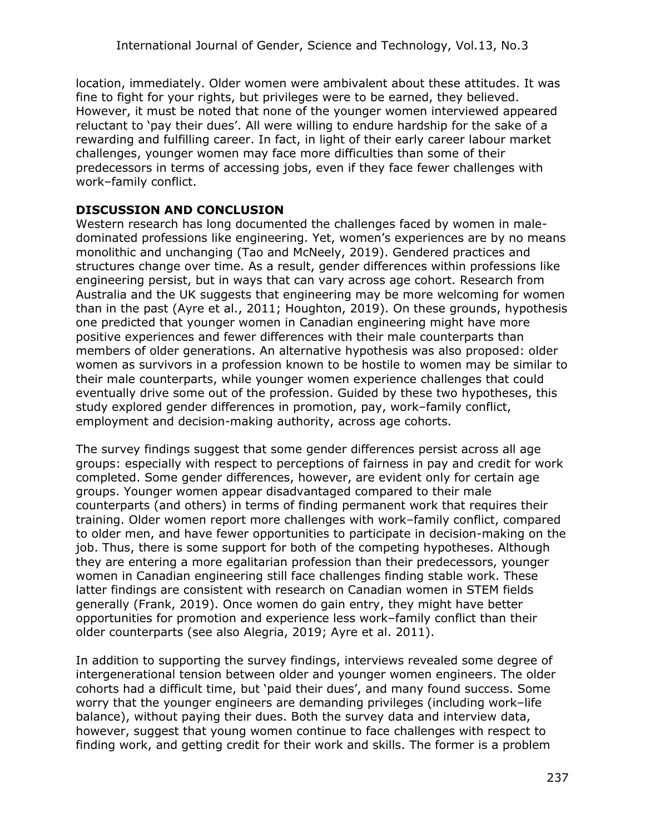location, immediately. Older women were ambivalent about these attitudes. It was fine to fight for your rights, but privileges were to be earned, they believed. However, it must be noted that none of the younger women interviewed appeared reluctant to 'pay their dues'. All were willing to endure hardship for the sake of a rewarding and fulfilling career. In fact, in light of their early career labour market challenges, younger women may face more difficulties than some of their predecessors in terms of accessing jobs, even if they face fewer challenges with work–family conflict.

## **DISCUSSION AND CONCLUSION**

Western research has long documented the challenges faced by women in maledominated professions like engineering. Yet, women's experiences are by no means monolithic and unchanging (Tao and McNeely, 2019). Gendered practices and structures change over time. As a result, gender differences within professions like engineering persist, but in ways that can vary across age cohort. Research from Australia and the UK suggests that engineering may be more welcoming for women than in the past (Ayre et al., 2011; Houghton, 2019). On these grounds, hypothesis one predicted that younger women in Canadian engineering might have more positive experiences and fewer differences with their male counterparts than members of older generations. An alternative hypothesis was also proposed: older women as survivors in a profession known to be hostile to women may be similar to their male counterparts, while younger women experience challenges that could eventually drive some out of the profession. Guided by these two hypotheses, this study explored gender differences in promotion, pay, work–family conflict, employment and decision-making authority, across age cohorts.

The survey findings suggest that some gender differences persist across all age groups: especially with respect to perceptions of fairness in pay and credit for work completed. Some gender differences, however, are evident only for certain age groups. Younger women appear disadvantaged compared to their male counterparts (and others) in terms of finding permanent work that requires their training. Older women report more challenges with work–family conflict, compared to older men, and have fewer opportunities to participate in decision-making on the job. Thus, there is some support for both of the competing hypotheses. Although they are entering a more egalitarian profession than their predecessors, younger women in Canadian engineering still face challenges finding stable work. These latter findings are consistent with research on Canadian women in STEM fields generally (Frank, 2019). Once women do gain entry, they might have better opportunities for promotion and experience less work–family conflict than their older counterparts (see also Alegria, 2019; Ayre et al. 2011).

In addition to supporting the survey findings, interviews revealed some degree of intergenerational tension between older and younger women engineers. The older cohorts had a difficult time, but 'paid their dues', and many found success. Some worry that the younger engineers are demanding privileges (including work–life balance), without paying their dues. Both the survey data and interview data, however, suggest that young women continue to face challenges with respect to finding work, and getting credit for their work and skills. The former is a problem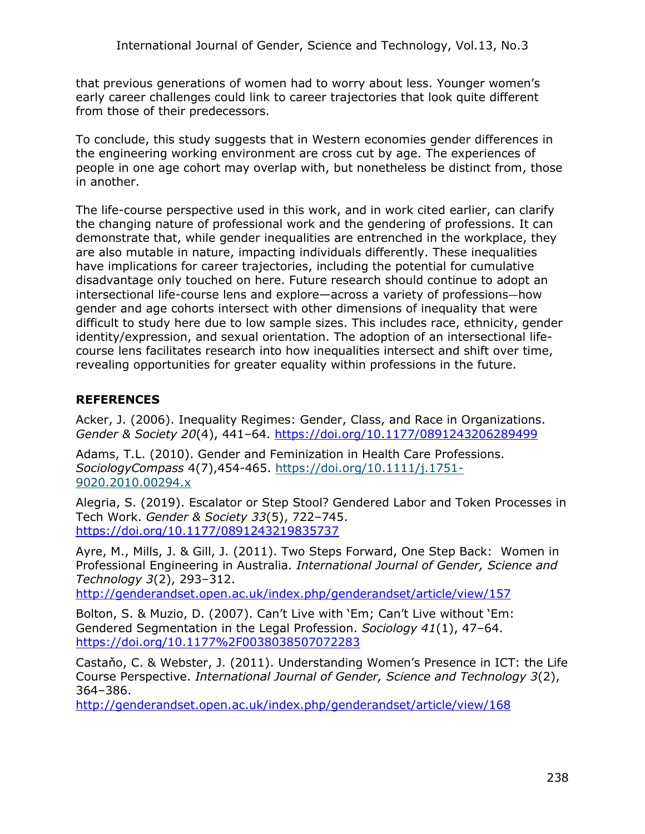that previous generations of women had to worry about less. Younger women's early career challenges could link to career trajectories that look quite different from those of their predecessors.

To conclude, this study suggests that in Western economies gender differences in the engineering working environment are cross cut by age. The experiences of people in one age cohort may overlap with, but nonetheless be distinct from, those in another.

The life-course perspective used in this work, and in work cited earlier, can clarify the changing nature of professional work and the gendering of professions. It can demonstrate that, while gender inequalities are entrenched in the workplace, they are also mutable in nature, impacting individuals differently. These inequalities have implications for career trajectories, including the potential for cumulative disadvantage only touched on here. Future research should continue to adopt an intersectional life-course lens and explore—across a variety of professions—how gender and age cohorts intersect with other dimensions of inequality that were difficult to study here due to low sample sizes. This includes race, ethnicity, gender identity/expression, and sexual orientation. The adoption of an intersectional lifecourse lens facilitates research into how inequalities intersect and shift over time, revealing opportunities for greater equality within professions in the future.

## **REFERENCES**

Acker, J. (2006). Inequality Regimes: Gender, Class, and Race in Organizations. *Gender & Society 20*(4), 441–64.<https://doi.org/10.1177/0891243206289499>

Adams, T.L. (2010). Gender and Feminization in Health Care Professions. *SociologyCompass* 4(7),454-465. [https://doi.org/10.1111/j.1751-](https://doi.org/10.1111/j.1751-9020.2010.00294.x) [9020.2010.00294.x](https://doi.org/10.1111/j.1751-9020.2010.00294.x)

Alegria, S. (2019). Escalator or Step Stool? Gendered Labor and Token Processes in Tech Work. *Gender & Society 33*(5), 722–745. <https://doi.org/10.1177/0891243219835737>

Ayre, M., Mills, J. & Gill, J. (2011). Two Steps Forward, One Step Back: Women in Professional Engineering in Australia. *International Journal of Gender, Science and Technology 3*(2), 293–312.

<http://genderandset.open.ac.uk/index.php/genderandset/article/view/157>

Bolton, S. & Muzio, D. (2007). Can't Live with 'Em; Can't Live without 'Em: Gendered Segmentation in the Legal Profession. *Sociology 41*(1), 47–64. <https://doi.org/10.1177%2F0038038507072283>

Castaňo, C. & Webster, J. (2011). Understanding Women's Presence in ICT: the Life Course Perspective. *International Journal of Gender, Science and Technology 3*(2), 364–386.

<http://genderandset.open.ac.uk/index.php/genderandset/article/view/168>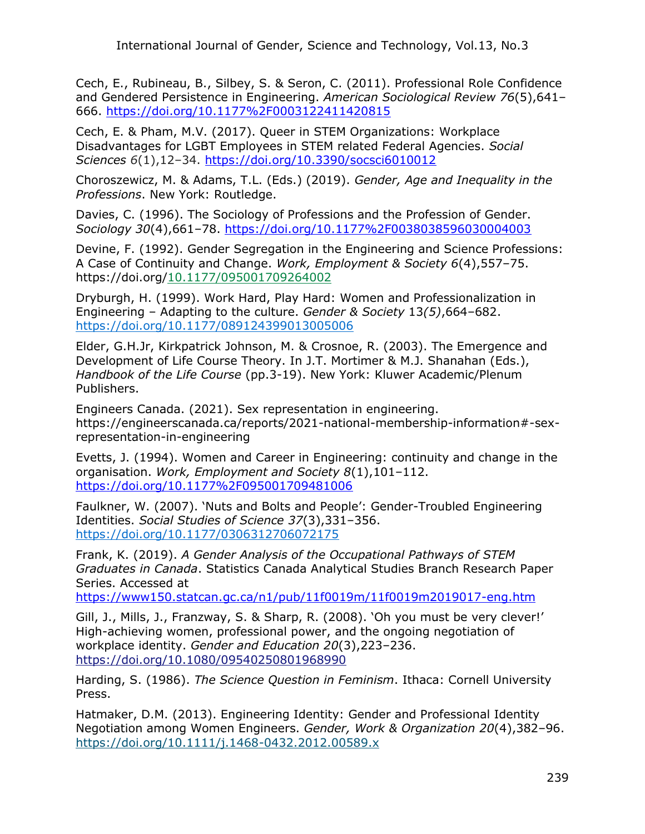Cech, E., Rubineau, B., Silbey, S. & Seron, C. (2011). Professional Role Confidence and Gendered Persistence in Engineering. *American Sociological Review 76*(5),641– 666.<https://doi.org/10.1177%2F0003122411420815>

Cech, E. & Pham, M.V. (2017). Queer in STEM Organizations: Workplace Disadvantages for LGBT Employees in STEM related Federal Agencies. *Social Sciences 6*(1),12–34. <https://doi.org/10.3390/socsci6010012>

Choroszewicz, M. & Adams, T.L. (Eds.) (2019). *Gender, Age and Inequality in the Professions*. New York: Routledge.

Davies, C. (1996). The Sociology of Professions and the Profession of Gender. *Sociology 30*(4),661–78.<https://doi.org/10.1177%2F0038038596030004003>

Devine, F. (1992). Gender Segregation in the Engineering and Science Professions: A Case of Continuity and Change. *Work, Employment & Society 6*(4),557–75. https://doi.org[/10.1177/095001709264002](https://econpapers.repec.org/scripts/redir.pf?u=https%3A%2F%2Fdoi.org%2F10.1177%252F095001709264002;h=repec:sae:woemps:v:6:y:1992:i:4:p:557-575)

Dryburgh, H. (1999). Work Hard, Play Hard: Women and Professionalization in Engineering – Adapting to the culture. *Gender & Society* 13*(5)*,664–682. [https://doi.org/10.1177/089124399013005006](https://doi.org/10.1177%2F089124399013005006)

Elder, G.H.Jr, Kirkpatrick Johnson, M. & Crosnoe, R. (2003). The Emergence and Development of Life Course Theory. In J.T. Mortimer & M.J. Shanahan (Eds.), *Handbook of the Life Course* (pp.3-19). New York: Kluwer Academic/Plenum Publishers.

Engineers Canada. (2021). Sex representation in engineering. https://engineerscanada.ca/reports/2021-national-membership-information#-sexrepresentation-in-engineering

Evetts, J. (1994). Women and Career in Engineering: continuity and change in the organisation. *Work, Employment and Society 8*(1),101–112. <https://doi.org/10.1177%2F095001709481006>

Faulkner, W. (2007). 'Nuts and Bolts and People': Gender-Troubled Engineering Identities. *Social Studies of Science 37*(3),331–356. [https://doi.org/10.1177/0306312706072175](https://doi.org/10.1177%2F0306312706072175)

Frank, K. (2019). *A Gender Analysis of the Occupational Pathways of STEM Graduates in Canada*. Statistics Canada Analytical Studies Branch Research Paper Series. Accessed at

<https://www150.statcan.gc.ca/n1/pub/11f0019m/11f0019m2019017-eng.htm>

Gill, J., Mills, J., Franzway, S. & Sharp, R. (2008). 'Oh you must be very clever!' High-achieving women, professional power, and the ongoing negotiation of workplace identity. *Gender and Education 20*(3),223–236. <https://doi.org/10.1080/09540250801968990>

Harding, S. (1986). *The Science Question in Feminism*. Ithaca: Cornell University Press.

Hatmaker, D.M. (2013). Engineering Identity: Gender and Professional Identity Negotiation among Women Engineers. *Gender, Work & Organization 20*(4),382–96. <https://doi.org/10.1111/j.1468-0432.2012.00589.x>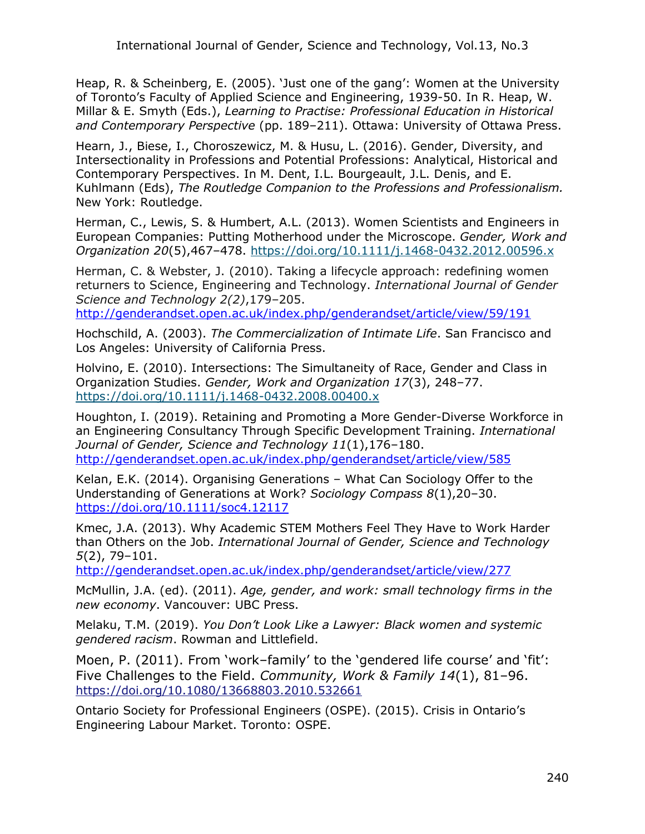Heap, R. & Scheinberg, E. (2005). 'Just one of the gang': Women at the University of Toronto's Faculty of Applied Science and Engineering, 1939-50. In R. Heap, W. Millar & E. Smyth (Eds.), *Learning to Practise: Professional Education in Historical and Contemporary Perspective* (pp. 189–211). Ottawa: University of Ottawa Press.

Hearn, J., Biese, I., Choroszewicz, M. & Husu, L. (2016). Gender, Diversity, and Intersectionality in Professions and Potential Professions: Analytical, Historical and Contemporary Perspectives. In M. Dent, I.L. Bourgeault, J.L. Denis, and E. Kuhlmann (Eds), *The Routledge Companion to the Professions and Professionalism.* New York: Routledge.

Herman, C., Lewis, S. & Humbert, A.L. (2013). Women Scientists and Engineers in European Companies: Putting Motherhood under the Microscope. *Gender, Work and Organization 20*(5),467–478.<https://doi.org/10.1111/j.1468-0432.2012.00596.x>

Herman, C. & Webster, J. (2010). Taking a lifecycle approach: redefining women returners to Science, Engineering and Technology. *International Journal of Gender Science and Technology 2(2)*,179–205.

<http://genderandset.open.ac.uk/index.php/genderandset/article/view/59/191>

Hochschild, A. (2003). *The Commercialization of Intimate Life*. San Francisco and Los Angeles: University of California Press.

Holvino, E. (2010). Intersections: The Simultaneity of Race, Gender and Class in Organization Studies. *Gender, Work and Organization 17*(3), 248–77. <https://doi.org/10.1111/j.1468-0432.2008.00400.x>

Houghton, I. (2019). Retaining and Promoting a More Gender-Diverse Workforce in an Engineering Consultancy Through Specific Development Training. *International Journal of Gender, Science and Technology 11*(1),176–180. <http://genderandset.open.ac.uk/index.php/genderandset/article/view/585>

Kelan, E.K. (2014). Organising Generations – What Can Sociology Offer to the Understanding of Generations at Work? *Sociology Compass 8*(1),20–30. <https://doi.org/10.1111/soc4.12117>

Kmec, J.A. (2013). Why Academic STEM Mothers Feel They Have to Work Harder than Others on the Job. *International Journal of Gender, Science and Technology 5*(2), 79–101.

<http://genderandset.open.ac.uk/index.php/genderandset/article/view/277>

McMullin, J.A. (ed). (2011). *Age, gender, and work: small technology firms in the new economy*. Vancouver: UBC Press.

Melaku, T.M. (2019). *You Don't Look Like a Lawyer: Black women and systemic gendered racism*. Rowman and Littlefield.

Moen, P. (2011). From 'work–family' to the 'gendered life course' and 'fit': Five Challenges to the Field. *Community, Work & Family 14*(1), 81–96. <https://doi.org/10.1080/13668803.2010.532661>

Ontario Society for Professional Engineers (OSPE). (2015). Crisis in Ontario's Engineering Labour Market. Toronto: OSPE.